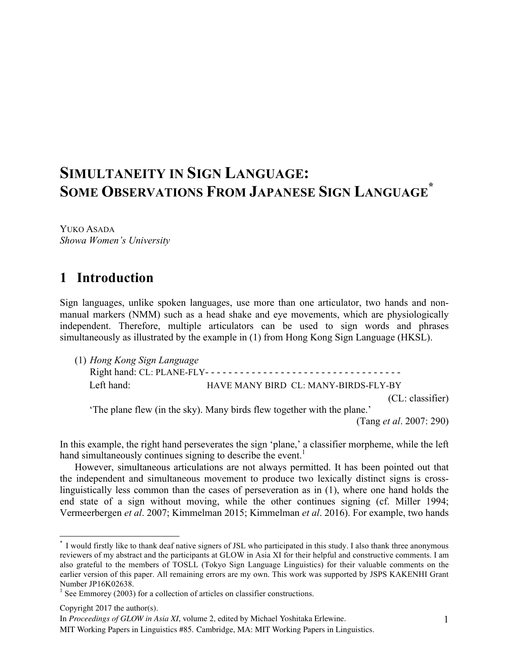# **SIMULTANEITY IN SIGN LANGUAGE: SOME OBSERVATIONS FROM JAPANESE SIGN LANGUAGE \***

YUKO ASADA *Showa Women's University*

## **1** Introduction

Sign languages, unlike spoken languages, use more than one articulator, two hands and nonmanual markers (NMM) such as a head shake and eye movements, which are physiologically independent. Therefore, multiple articulators can be used to sign words and phrases simultaneously as illustrated by the example in (1) from Hong Kong Sign Language (HKSL).

| (1) Hong Kong Sign Language                                             |                                      |                  |
|-------------------------------------------------------------------------|--------------------------------------|------------------|
|                                                                         |                                      |                  |
| Left hand:                                                              | HAVE MANY BIRD CL: MANY-BIRDS-FLY-BY |                  |
|                                                                         |                                      | (CL: classifier) |
| 'The plane flew (in the sky). Many birds flew together with the plane.' |                                      |                  |

(Tang *et al*. 2007: 290)

In this example, the right hand perseverates the sign 'plane,' a classifier morpheme, while the left hand simultaneously continues signing to describe the event.<sup>1</sup>

However, simultaneous articulations are not always permitted. It has been pointed out that the independent and simultaneous movement to produce two lexically distinct signs is crosslinguistically less common than the cases of perseveration as in (1), where one hand holds the end state of a sign without moving, while the other continues signing (cf. Miller 1994; Vermeerbergen *et al*. 2007; Kimmelman 2015; Kimmelman *et al*. 2016). For example, two hands

 <sup>\*</sup> I would firstly like to thank deaf native signers of JSL who participated in this study. I also thank three anonymous reviewers of my abstract and the participants at GLOW in Asia XI for their helpful and constructive comments. I am also grateful to the members of TOSLL (Tokyo Sign Language Linguistics) for their valuable comments on the earlier version of this paper. All remaining errors are my own. This work was supported by JSPS KAKENHI Grant Number JP16K02638.

 $1$  See Emmorey (2003) for a collection of articles on classifier constructions.

Copyright 2017 the author(s).

In *Proceedings of GLOW in Asia XI*, volume 2, edited by Michael Yoshitaka Erlewine.

MIT Working Papers in Linguistics #85. Cambridge, MA: MIT Working Papers in Linguistics.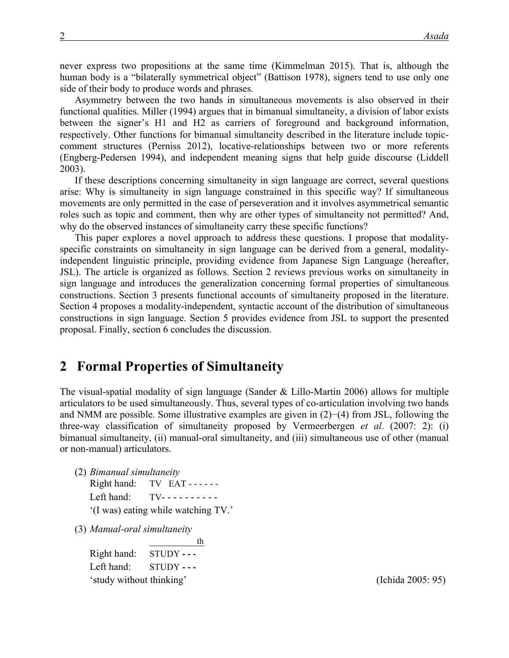never express two propositions at the same time (Kimmelman 2015). That is, although the human body is a "bilaterally symmetrical object" (Battison 1978), signers tend to use only one side of their body to produce words and phrases.

Asymmetry between the two hands in simultaneous movements is also observed in their functional qualities. Miller (1994) argues that in bimanual simultaneity, a division of labor exists between the signer's H1 and H2 as carriers of foreground and background information, respectively. Other functions for bimanual simultaneity described in the literature include topiccomment structures (Perniss 2012), locative-relationships between two or more referents (Engberg-Pedersen 1994), and independent meaning signs that help guide discourse (Liddell 2003).

If these descriptions concerning simultaneity in sign language are correct, several questions arise: Why is simultaneity in sign language constrained in this specific way? If simultaneous movements are only permitted in the case of perseveration and it involves asymmetrical semantic roles such as topic and comment, then why are other types of simultaneity not permitted? And, why do the observed instances of simultaneity carry these specific functions?

This paper explores a novel approach to address these questions. I propose that modalityspecific constraints on simultaneity in sign language can be derived from a general, modalityindependent linguistic principle, providing evidence from Japanese Sign Language (hereafter, JSL). The article is organized as follows. Section 2 reviews previous works on simultaneity in sign language and introduces the generalization concerning formal properties of simultaneous constructions. Section 3 presents functional accounts of simultaneity proposed in the literature. Section 4 proposes a modality-independent, syntactic account of the distribution of simultaneous constructions in sign language. Section 5 provides evidence from JSL to support the presented proposal. Finally, section 6 concludes the discussion.

#### **2** Formal Properties of Simultaneity

The visual-spatial modality of sign language (Sander & Lillo-Martin 2006) allows for multiple articulators to be used simultaneously. Thus, several types of co-articulation involving two hands and NMM are possible. Some illustrative examples are given in (2)−(4) from JSL, following the three-way classification of simultaneity proposed by Vermeerbergen *et al*. (2007: 2): (i) bimanual simultaneity, (ii) manual-oral simultaneity, and (iii) simultaneous use of other (manual or non-manual) articulators.

- (2) *Bimanual simultaneity* Right hand: TV EAT - - - - - -Left hand: TV---------'(I was) eating while watching TV.'
- (3) *Manual-oral simultaneity*

 th Right hand: STUDY **- - -** Left hand: STUDY **- - -** 'study without thinking' (Ichida 2005: 95)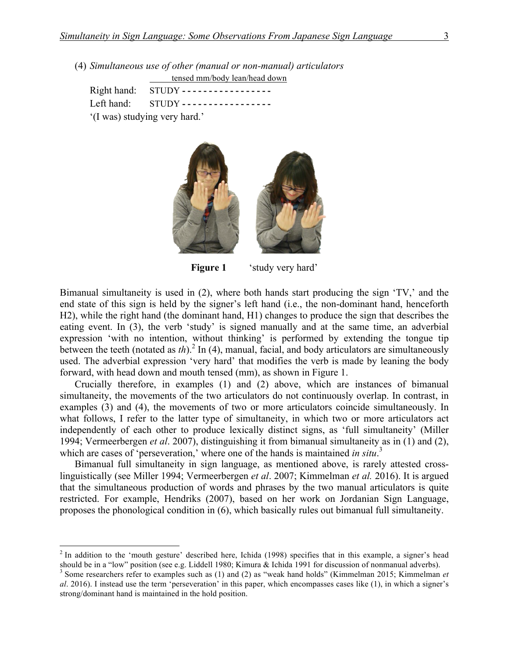(4) *Simultaneous use of other (manual or non-manual) articulators* tensed mm/body lean/head down

|                               | Right hand: STUDY -----------------  |  |  |  |
|-------------------------------|--------------------------------------|--|--|--|
|                               | Left hand: $STUDY$ ----------------- |  |  |  |
| '(I was) studying very hard.' |                                      |  |  |  |



**Figure 1** 'study very hard'

Bimanual simultaneity is used in (2), where both hands start producing the sign 'TV,' and the end state of this sign is held by the signer's left hand (i.e., the non-dominant hand, henceforth H2), while the right hand (the dominant hand, H1) changes to produce the sign that describes the eating event. In (3), the verb 'study' is signed manually and at the same time, an adverbial expression 'with no intention, without thinking' is performed by extending the tongue tip between the teeth (notated as  $th$ ).<sup>2</sup> In (4), manual, facial, and body articulators are simultaneously used. The adverbial expression 'very hard' that modifies the verb is made by leaning the body forward, with head down and mouth tensed (mm), as shown in Figure 1.

Crucially therefore, in examples (1) and (2) above, which are instances of bimanual simultaneity, the movements of the two articulators do not continuously overlap. In contrast, in examples (3) and (4), the movements of two or more articulators coincide simultaneously. In what follows, I refer to the latter type of simultaneity, in which two or more articulators act independently of each other to produce lexically distinct signs, as 'full simultaneity' (Miller 1994; Vermeerbergen *et al*. 2007), distinguishing it from bimanual simultaneity as in (1) and (2), which are cases of 'perseveration,' where one of the hands is maintained *in situ*.<sup>3</sup>

Bimanual full simultaneity in sign language, as mentioned above, is rarely attested crosslinguistically (see Miller 1994; Vermeerbergen *et al*. 2007; Kimmelman *et al.* 2016). It is argued that the simultaneous production of words and phrases by the two manual articulators is quite restricted. For example, Hendriks (2007), based on her work on Jordanian Sign Language, proposes the phonological condition in (6), which basically rules out bimanual full simultaneity.

 $2$  In addition to the 'mouth gesture' described here, Ichida (1998) specifies that in this example, a signer's head should be in a "low" position (see e.g. Liddell 1980; Kimura & Ichida 1991 for discussion of nonmanual adverbs).<br><sup>3</sup> Some researchers refer to examples such as (1) and (2) as "weak hand holds" (Kimmelman 2015; Kimmelman

*al*. 2016). I instead use the term 'perseveration' in this paper, which encompasses cases like (1), in which a signer's strong/dominant hand is maintained in the hold position.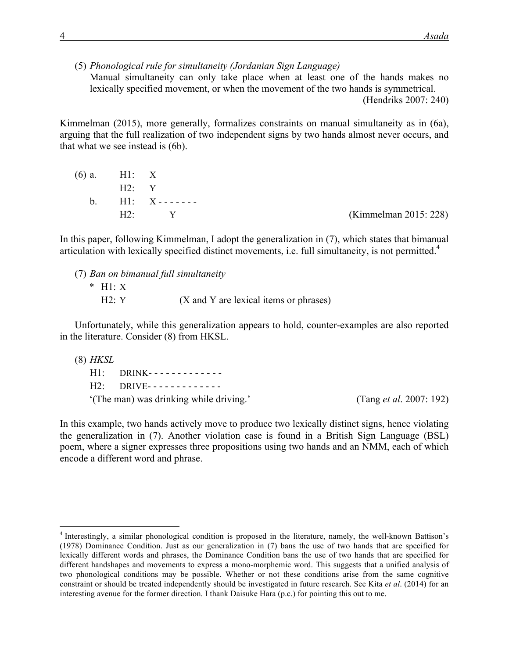(5) *Phonological rule for simultaneity (Jordanian Sign Language)*

Manual simultaneity can only take place when at least one of the hands makes no lexically specified movement, or when the movement of the two hands is symmetrical.

(Hendriks 2007: 240)

Kimmelman (2015), more generally, formalizes constraints on manual simultaneity as in (6a), arguing that the full realization of two independent signs by two hands almost never occurs, and that what we see instead is (6b).

| $(6)$ a. H1: X |                    |                       |
|----------------|--------------------|-----------------------|
| $H2 \cdot Y$   |                    |                       |
|                | $h$ H1 $X$ ------- |                       |
|                | $H2:$ $Y$          | (Kimmelman 2015: 228) |

In this paper, following Kimmelman, I adopt the generalization in (7), which states that bimanual articulation with lexically specified distinct movements, i.e. full simultaneity, is not permitted.<sup>4</sup>

(7) *Ban on bimanual full simultaneity*

\* H1: X  $H2: Y$  (X and Y are lexical items or phrases)

Unfortunately, while this generalization appears to hold, counter-examples are also reported in the literature. Consider (8) from HKSL.

(8) *HKSL*

H1: DRINK- - - - - - - - - - - - - H2: DRIVE- - - - - - - - - - - - - '(The man) was drinking while driving.' (Tang *et al*. 2007: 192)

In this example, two hands actively move to produce two lexically distinct signs, hence violating the generalization in (7). Another violation case is found in a British Sign Language (BSL) poem, where a signer expresses three propositions using two hands and an NMM, each of which encode a different word and phrase.

 <sup>4</sup> Interestingly, a similar phonological condition is proposed in the literature, namely, the well-known Battison's (1978) Dominance Condition. Just as our generalization in (7) bans the use of two hands that are specified for lexically different words and phrases, the Dominance Condition bans the use of two hands that are specified for different handshapes and movements to express a mono-morphemic word. This suggests that a unified analysis of two phonological conditions may be possible. Whether or not these conditions arise from the same cognitive constraint or should be treated independently should be investigated in future research. See Kita *et al*. (2014) for an interesting avenue for the former direction. I thank Daisuke Hara (p.c.) for pointing this out to me.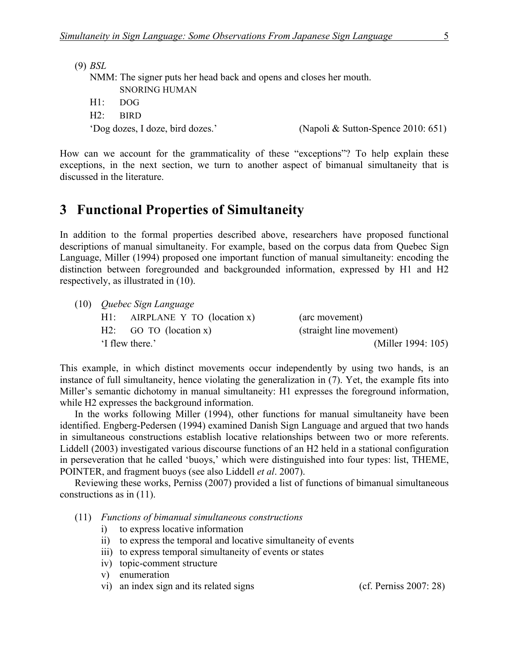(9) *BSL*

NMM: The signer puts her head back and opens and closes her mouth. SNORING HUMAN

- H1: DOG
- H2: BIRD

'Dog dozes, I doze, bird dozes.' (Napoli & Sutton-Spence 2010: 651)

How can we account for the grammaticality of these "exceptions"? To help explain these exceptions, in the next section, we turn to another aspect of bimanual simultaneity that is discussed in the literature.

## **3** Functional Properties of Simultaneity

In addition to the formal properties described above, researchers have proposed functional descriptions of manual simultaneity. For example, based on the corpus data from Quebec Sign Language, Miller (1994) proposed one important function of manual simultaneity: encoding the distinction between foregrounded and backgrounded information, expressed by H1 and H2 respectively, as illustrated in (10).

| $(10)$ <i>Quebec Sign Language</i> |                                   |                          |
|------------------------------------|-----------------------------------|--------------------------|
|                                    | $H1$ : AIRPLANE Y TO (location x) | (arc movement)           |
|                                    | $H2:$ GO TO (location x)          | (straight line movement) |
| 'I flew there.'                    |                                   | (Miller 1994: 105)       |

This example, in which distinct movements occur independently by using two hands, is an instance of full simultaneity, hence violating the generalization in (7). Yet, the example fits into Miller's semantic dichotomy in manual simultaneity: H1 expresses the foreground information, while H2 expresses the background information.

In the works following Miller (1994), other functions for manual simultaneity have been identified. Engberg-Pedersen (1994) examined Danish Sign Language and argued that two hands in simultaneous constructions establish locative relationships between two or more referents. Liddell (2003) investigated various discourse functions of an H2 held in a stational configuration in perseveration that he called 'buoys,' which were distinguished into four types: list, THEME, POINTER, and fragment buoys (see also Liddell *et al*. 2007).

Reviewing these works, Perniss (2007) provided a list of functions of bimanual simultaneous constructions as in (11).

- (11) *Functions of bimanual simultaneous constructions*
	- i) to express locative information
	- ii) to express the temporal and locative simultaneity of events
	- iii) to express temporal simultaneity of events or states
	- iv) topic-comment structure
	- v) enumeration
	- vi) an index sign and its related signs (cf. Perniss 2007: 28)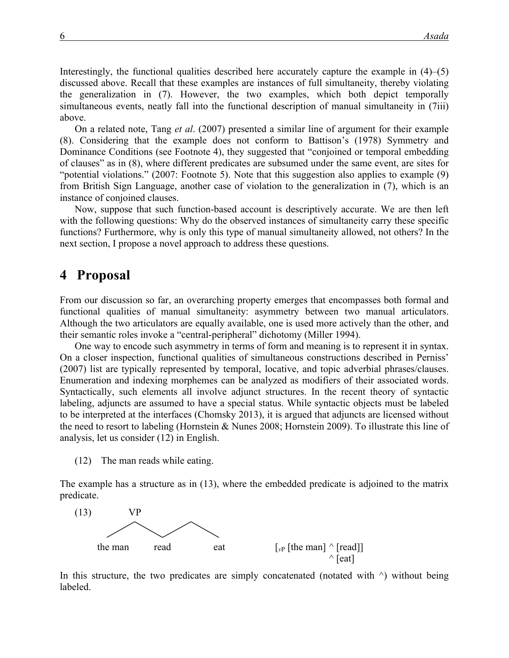Interestingly, the functional qualities described here accurately capture the example in  $(4)$ – $(5)$ discussed above. Recall that these examples are instances of full simultaneity, thereby violating the generalization in (7). However, the two examples, which both depict temporally simultaneous events, neatly fall into the functional description of manual simultaneity in (7iii) above.

On a related note, Tang *et al*. (2007) presented a similar line of argument for their example (8). Considering that the example does not conform to Battison's (1978) Symmetry and Dominance Conditions (see Footnote 4), they suggested that "conjoined or temporal embedding of clauses" as in (8), where different predicates are subsumed under the same event, are sites for "potential violations." (2007: Footnote 5). Note that this suggestion also applies to example (9) from British Sign Language, another case of violation to the generalization in (7), which is an instance of conjoined clauses.

Now, suppose that such function-based account is descriptively accurate. We are then left with the following questions: Why do the observed instances of simultaneity carry these specific functions? Furthermore, why is only this type of manual simultaneity allowed, not others? In the next section, I propose a novel approach to address these questions.

#### 4 Proposal

From our discussion so far, an overarching property emerges that encompasses both formal and functional qualities of manual simultaneity: asymmetry between two manual articulators. Although the two articulators are equally available, one is used more actively than the other, and their semantic roles invoke a "central-peripheral" dichotomy (Miller 1994).

One way to encode such asymmetry in terms of form and meaning is to represent it in syntax. On a closer inspection, functional qualities of simultaneous constructions described in Perniss' (2007) list are typically represented by temporal, locative, and topic adverbial phrases/clauses. Enumeration and indexing morphemes can be analyzed as modifiers of their associated words. Syntactically, such elements all involve adjunct structures. In the recent theory of syntactic labeling, adjuncts are assumed to have a special status. While syntactic objects must be labeled to be interpreted at the interfaces (Chomsky 2013), it is argued that adjuncts are licensed without the need to resort to labeling (Hornstein & Nunes 2008; Hornstein 2009). To illustrate this line of analysis, let us consider (12) in English.

(12) The man reads while eating.

The example has a structure as in (13), where the embedded predicate is adjoined to the matrix predicate.



In this structure, the two predicates are simply concatenated (notated with  $\land$ ) without being labeled.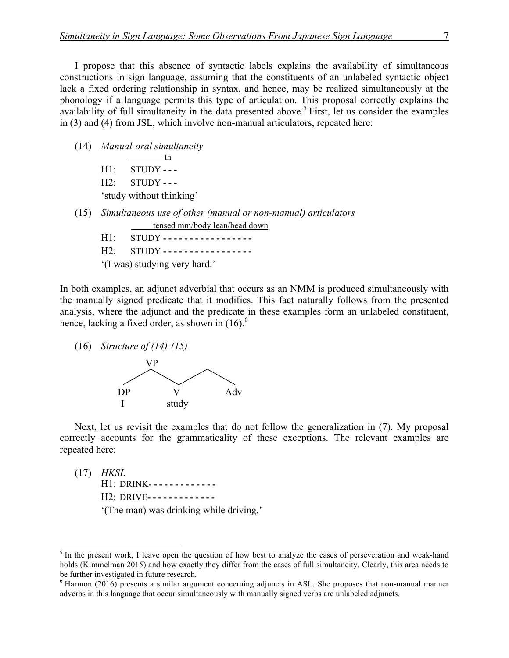I propose that this absence of syntactic labels explains the availability of simultaneous constructions in sign language, assuming that the constituents of an unlabeled syntactic object lack a fixed ordering relationship in syntax, and hence, may be realized simultaneously at the phonology if a language permits this type of articulation. This proposal correctly explains the availability of full simultaneity in the data presented above.<sup>5</sup> First, let us consider the examples in (3) and (4) from JSL, which involve non-manual articulators, repeated here:

(14) *Manual-oral simultaneity* th H1: STUDY **- - -**

H2: STUDY **- - -** 'study without thinking'

- (15) *Simultaneous use of other (manual or non-manual) articulators* tensed mm/body lean/head down
	- H1: STUDY **- - - - - - - - - - - - - - - - -** H2: STUDY **- - - - - - - - - - - - - - - - -**
	- '(I was) studying very hard.'

In both examples, an adjunct adverbial that occurs as an NMM is produced simultaneously with the manually signed predicate that it modifies. This fact naturally follows from the presented analysis, where the adjunct and the predicate in these examples form an unlabeled constituent, hence, lacking a fixed order, as shown in  $(16)$ .<sup>6</sup>

(16) *Structure of (14)-(15)*



Next, let us revisit the examples that do not follow the generalization in (7). My proposal correctly accounts for the grammaticality of these exceptions. The relevant examples are repeated here:

(17) *HKSL* H1: DRINK**- - - - - - - - - - - - -** H2: DRIVE**- - - - - - - - - - - - -** '(The man) was drinking while driving.'

<sup>&</sup>lt;sup>5</sup> In the present work, I leave open the question of how best to analyze the cases of perseveration and weak-hand holds (Kimmelman 2015) and how exactly they differ from the cases of full simultaneity. Clearly, this area needs to be further investigated in future research.<br><sup>6</sup> Harmon (2016) presents a similar argument concerning adjuncts in ASL. She proposes that non-manual manner

adverbs in this language that occur simultaneously with manually signed verbs are unlabeled adjuncts.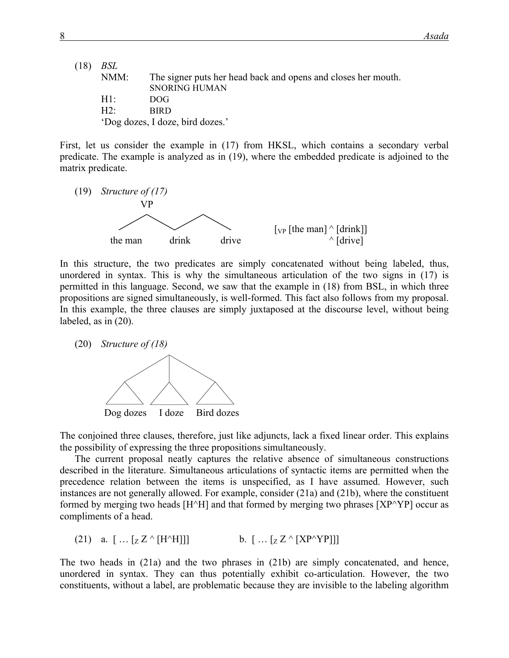| (18) | BSL    |                                                               |
|------|--------|---------------------------------------------------------------|
|      | NMM:   | The signer puts her head back and opens and closes her mouth. |
|      |        | <b>SNORING HUMAN</b>                                          |
|      | $H1$ . | DOG.                                                          |
|      | $H2^+$ | <b>BIRD</b>                                                   |
|      |        | 'Dog dozes, I doze, bird dozes.'                              |

First, let us consider the example in (17) from HKSL, which contains a secondary verbal predicate. The example is analyzed as in (19), where the embedded predicate is adjoined to the matrix predicate.



In this structure, the two predicates are simply concatenated without being labeled, thus, unordered in syntax. This is why the simultaneous articulation of the two signs in (17) is permitted in this language. Second, we saw that the example in (18) from BSL, in which three propositions are signed simultaneously, is well-formed. This fact also follows from my proposal. In this example, the three clauses are simply juxtaposed at the discourse level, without being labeled, as in (20).

(20) *Structure of (18)* Dog dozes I doze Bird dozes  $\lambda$  v  $\lambda$  v  $\lambda$ 

The conjoined three clauses, therefore, just like adjuncts, lack a fixed linear order. This explains the possibility of expressing the three propositions simultaneously.

The current proposal neatly captures the relative absence of simultaneous constructions described in the literature. Simultaneous articulations of syntactic items are permitted when the precedence relation between the items is unspecified, as I have assumed. However, such instances are not generally allowed. For example, consider (21a) and (21b), where the constituent formed by merging two heads  $[H^{\wedge}H]$  and that formed by merging two phrases  $[XP^{\wedge}YP]$  occur as compliments of a head.

(21) a.  $\left[ \dots [z Z^{\wedge} [H^{\wedge} H]] \right]$  b.  $\left[ \dots [z Z^{\wedge} [XP^{\wedge}YP]] \right]$ 

The two heads in (21a) and the two phrases in (21b) are simply concatenated, and hence, unordered in syntax. They can thus potentially exhibit co-articulation. However, the two constituents, without a label, are problematic because they are invisible to the labeling algorithm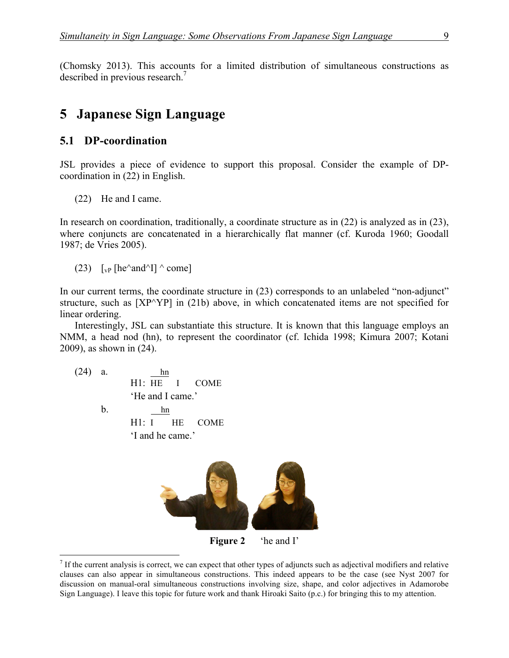(Chomsky 2013). This accounts for a limited distribution of simultaneous constructions as described in previous research.<sup>7</sup>

#### **5**xx**Japanese Sign Language**

#### **5.1 DP-coordination**

JSL provides a piece of evidence to support this proposal. Consider the example of DPcoordination in (22) in English.

(22) He and I came.

In research on coordination, traditionally, a coordinate structure as in (22) is analyzed as in (23), where conjuncts are concatenated in a hierarchically flat manner (cf. Kuroda 1960; Goodall 1987; de Vries 2005).

(23)  $\lceil v \cdot p \rceil$  [he^and^I] ^ come]

In our current terms, the coordinate structure in (23) corresponds to an unlabeled "non-adjunct" structure, such as [XP^YP] in (21b) above, in which concatenated items are not specified for linear ordering.

Interestingly, JSL can substantiate this structure. It is known that this language employs an NMM, a head nod (hn), to represent the coordinator (cf. Ichida 1998; Kimura 2007; Kotani 2009), as shown in (24).

(24) a. hn H1: HE I COME 'He and I came.' b. hn H1: I HE COME 'I and he came.'



**Figure 2** 'he and I'

 $<sup>7</sup>$  If the current analysis is correct, we can expect that other types of adjuncts such as adjectival modifiers and relative</sup> clauses can also appear in simultaneous constructions. This indeed appears to be the case (see Nyst 2007 for discussion on manual-oral simultaneous constructions involving size, shape, and color adjectives in Adamorobe Sign Language). I leave this topic for future work and thank Hiroaki Saito (p.c.) for bringing this to my attention.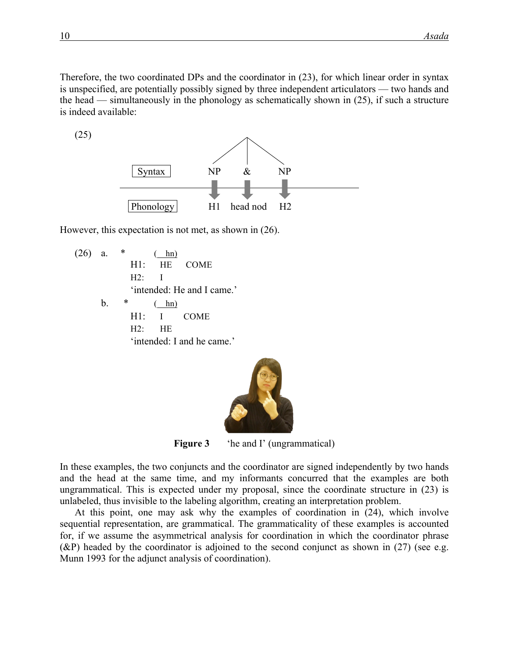Therefore, the two coordinated DPs and the coordinator in (23), for which linear order in syntax is unspecified, are potentially possibly signed by three independent articulators — two hands and the head — simultaneously in the phonology as schematically shown in (25), if such a structure is indeed available:

(25)



However, this expectation is not met, as shown in (26).

 $(26)$  a.  $*$  ( hn) H1: HE COME H2: I 'intended: He and I came.' b.  $*$  ( hn) H1: I COME H2: HE 'intended: I and he came.'



**Figure 3** the and I' (ungrammatical)

In these examples, the two conjuncts and the coordinator are signed independently by two hands and the head at the same time, and my informants concurred that the examples are both ungrammatical. This is expected under my proposal, since the coordinate structure in (23) is unlabeled, thus invisible to the labeling algorithm, creating an interpretation problem.

At this point, one may ask why the examples of coordination in (24), which involve sequential representation, are grammatical. The grammaticality of these examples is accounted for, if we assume the asymmetrical analysis for coordination in which the coordinator phrase  $(\&$ P) headed by the coordinator is adjoined to the second conjunct as shown in (27) (see e.g. Munn 1993 for the adjunct analysis of coordination).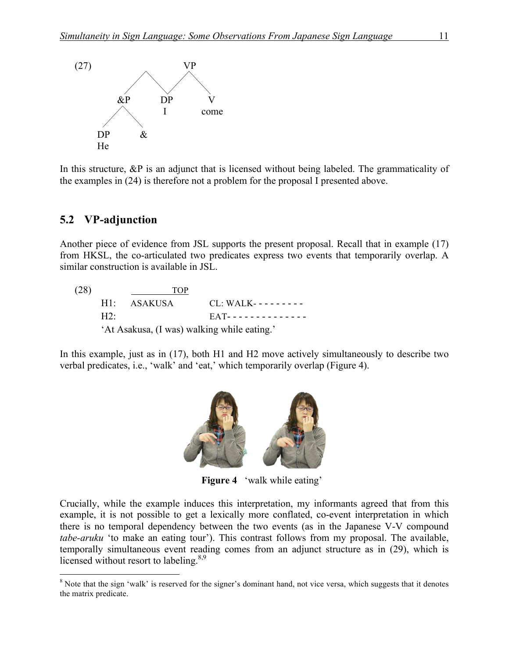

In this structure, &P is an adjunct that is licensed without being labeled. The grammaticality of the examples in (24) is therefore not a problem for the proposal I presented above.

#### **5.2**xx**VP-adjunction**

Another piece of evidence from JSL supports the present proposal. Recall that in example (17) from HKSL, the co-articulated two predicates express two events that temporarily overlap. A similar construction is available in JSL.

(28) TOP H1: ASAKUSA CL: WALK--------H2: EAT-------------'At Asakusa, (I was) walking while eating.'

In this example, just as in (17), both H1 and H2 move actively simultaneously to describe two verbal predicates, i.e., 'walk' and 'eat,' which temporarily overlap (Figure 4).



**Figure 4** 'walk while eating'

Crucially, while the example induces this interpretation, my informants agreed that from this example, it is not possible to get a lexically more conflated, co-event interpretation in which there is no temporal dependency between the two events (as in the Japanese V-V compound *tabe-aruku* 'to make an eating tour'). This contrast follows from my proposal. The available, temporally simultaneous event reading comes from an adjunct structure as in (29), which is licensed without resort to labeling. $8,9$ 

<sup>&</sup>lt;sup>8</sup> Note that the sign 'walk' is reserved for the signer's dominant hand, not vice versa, which suggests that it denotes the matrix predicate.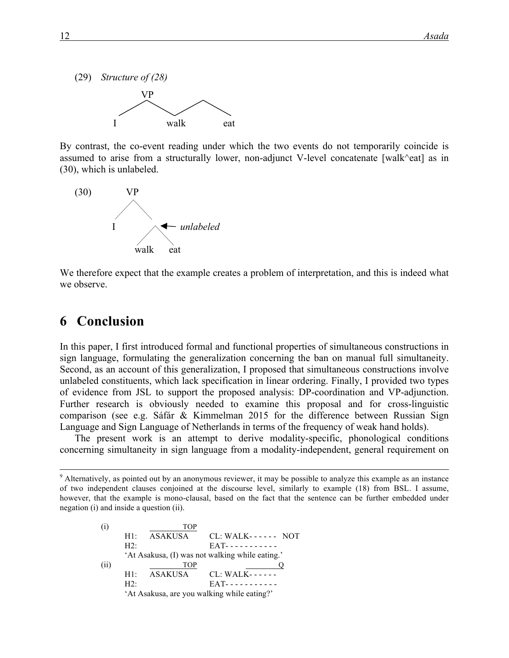

By contrast, the co-event reading under which the two events do not temporarily coincide is assumed to arise from a structurally lower, non-adjunct V-level concatenate [walk^eat] as in (30), which is unlabeled.



We therefore expect that the example creates a problem of interpretation, and this is indeed what we observe.

### **6** Conclusion

In this paper, I first introduced formal and functional properties of simultaneous constructions in sign language, formulating the generalization concerning the ban on manual full simultaneity. Second, as an account of this generalization, I proposed that simultaneous constructions involve unlabeled constituents, which lack specification in linear ordering. Finally, I provided two types of evidence from JSL to support the proposed analysis: DP-coordination and VP-adjunction. Further research is obviously needed to examine this proposal and for cross-linguistic comparison (see e.g. Sáfár & Kimmelman 2015 for the difference between Russian Sign Language and Sign Language of Netherlands in terms of the frequency of weak hand holds).

The present work is an attempt to derive modality-specific, phonological conditions concerning simultaneity in sign language from a modality-independent, general requirement on

<sup>&</sup>lt;sup>9</sup> Alternatively, as pointed out by an anonymous reviewer, it may be possible to analyze this example as an instance of two independent clauses conjoined at the discourse level, similarly to example (18) from BSL. I assume, however, that the example is mono-clausal, based on the fact that the sentence can be further embedded under negation (i) and inside a question (ii).

|      |                                                 | <b>TOP</b>  |                                             |
|------|-------------------------------------------------|-------------|---------------------------------------------|
|      | H1:                                             | ASAKUSA     | $CL: WALK---$ NOT                           |
|      | H2                                              |             |                                             |
|      | 'At Asakusa, (I) was not walking while eating.' |             |                                             |
| (ii) |                                                 | <b>TOP</b>  |                                             |
|      |                                                 | H1: ASAKUSA | CL: WALK- - - - - -                         |
|      | H2                                              |             |                                             |
|      |                                                 |             | 'At Asakusa, are you walking while eating?' |
|      |                                                 |             |                                             |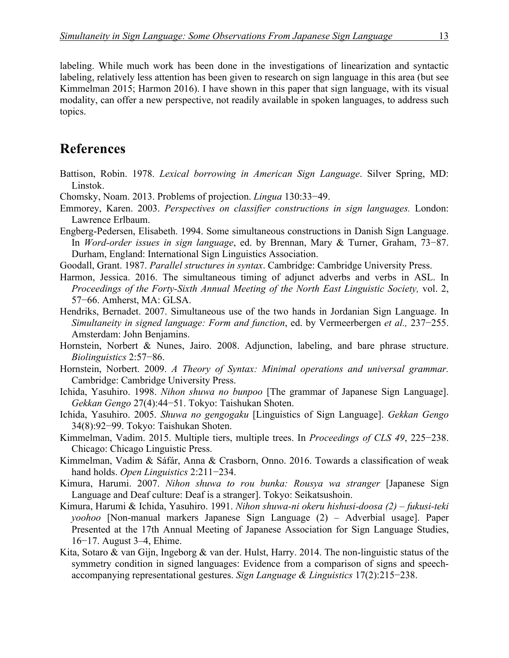labeling. While much work has been done in the investigations of linearization and syntactic labeling, relatively less attention has been given to research on sign language in this area (but see Kimmelman 2015; Harmon 2016). I have shown in this paper that sign language, with its visual modality, can offer a new perspective, not readily available in spoken languages, to address such topics.

### **References**

- Battison, Robin. 1978. *Lexical borrowing in American Sign Language*. Silver Spring, MD: Linstok.
- Chomsky, Noam. 2013. Problems of projection. *Lingua* 130:33−49.
- Emmorey, Karen. 2003. *Perspectives on classifier constructions in sign languages.* London: Lawrence Erlbaum.
- Engberg-Pedersen, Elisabeth. 1994. Some simultaneous constructions in Danish Sign Language. In *Word-order issues in sign language*, ed. by Brennan, Mary & Turner, Graham, 73−87. Durham, England: International Sign Linguistics Association.
- Goodall, Grant. 1987. *Parallel structures in syntax*. Cambridge: Cambridge University Press.
- Harmon, Jessica. 2016. The simultaneous timing of adjunct adverbs and verbs in ASL. In *Proceedings of the Forty-Sixth Annual Meeting of the North East Linguistic Society,* vol. 2, 57−66. Amherst, MA: GLSA.
- Hendriks, Bernadet. 2007. Simultaneous use of the two hands in Jordanian Sign Language. In *Simultaneity in signed language: Form and function*, ed. by Vermeerbergen *et al.,* 237−255. Amsterdam: John Benjamins.
- Hornstein, Norbert & Nunes, Jairo. 2008. Adjunction, labeling, and bare phrase structure. *Biolinguistics* 2:57−86.
- Hornstein, Norbert. 2009. *A Theory of Syntax: Minimal operations and universal grammar.*  Cambridge: Cambridge University Press.
- Ichida, Yasuhiro. 1998. *Nihon shuwa no bunpoo* [The grammar of Japanese Sign Language]. *Gekkan Gengo* 27(4):44−51. Tokyo: Taishukan Shoten.
- Ichida, Yasuhiro. 2005. *Shuwa no gengogaku* [Linguistics of Sign Language]. *Gekkan Gengo* 34(8):92−99. Tokyo: Taishukan Shoten.
- Kimmelman, Vadim. 2015. Multiple tiers, multiple trees. In *Proceedings of CLS 49*, 225−238. Chicago: Chicago Linguistic Press.
- Kimmelman, Vadim & Sáfár, Anna & Crasborn, Onno. 2016. Towards a classification of weak hand holds. *Open Linguistics* 2:211−234.
- Kimura, Harumi. 2007. *Nihon shuwa to rou bunka: Rousya wa stranger* [Japanese Sign Language and Deaf culture: Deaf is a stranger]. Tokyo: Seikatsushoin.
- Kimura, Harumi & Ichida, Yasuhiro. 1991. *Nihon shuwa-ni okeru hishusi-doosa (2) – fukusi-teki yoohoo* [Non-manual markers Japanese Sign Language (2) – Adverbial usage]. Paper Presented at the 17th Annual Meeting of Japanese Association for Sign Language Studies, 16−17. August 3–4, Ehime.
- Kita, Sotaro & van Gijn, Ingeborg & van der. Hulst, Harry. 2014. The non-linguistic status of the symmetry condition in signed languages: Evidence from a comparison of signs and speechaccompanying representational gestures. *Sign Language & Linguistics* 17(2):215−238.